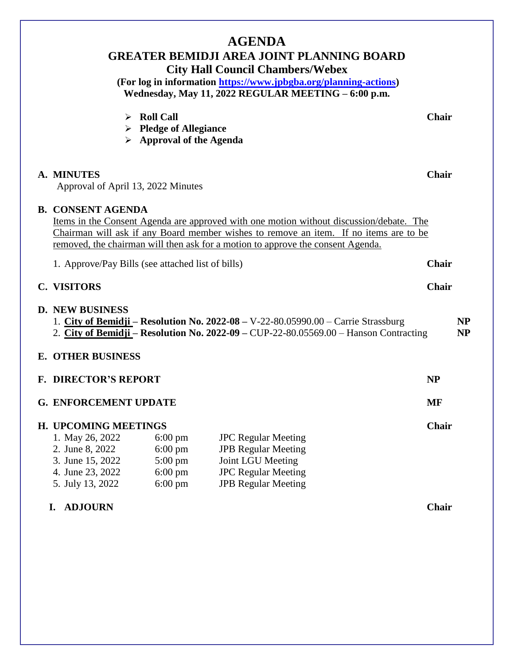| <b>AGENDA</b><br><b>GREATER BEMIDJI AREA JOINT PLANNING BOARD</b><br><b>City Hall Council Chambers/Webex</b><br>(For log in information https://www.jpbgba.org/planning-actions)<br>Wednesday, May 11, 2022 REGULAR MEETING - 6:00 p.m. |                                                                                                                                                                                                                                                                                                 |                                                                                                      |                                                                                                                                                                               |              |                        |  |
|-----------------------------------------------------------------------------------------------------------------------------------------------------------------------------------------------------------------------------------------|-------------------------------------------------------------------------------------------------------------------------------------------------------------------------------------------------------------------------------------------------------------------------------------------------|------------------------------------------------------------------------------------------------------|-------------------------------------------------------------------------------------------------------------------------------------------------------------------------------|--------------|------------------------|--|
|                                                                                                                                                                                                                                         | ➤                                                                                                                                                                                                                                                                                               | <b>Roll Call</b><br>$\triangleright$ Pledge of Allegiance<br>$\triangleright$ Approval of the Agenda |                                                                                                                                                                               | <b>Chair</b> |                        |  |
|                                                                                                                                                                                                                                         | A. MINUTES<br>Approval of April 13, 2022 Minutes                                                                                                                                                                                                                                                |                                                                                                      |                                                                                                                                                                               |              | Chair                  |  |
|                                                                                                                                                                                                                                         | <b>B. CONSENT AGENDA</b><br>Items in the Consent Agenda are approved with one motion without discussion/debate. The<br>Chairman will ask if any Board member wishes to remove an item. If no items are to be<br>removed, the chairman will then ask for a motion to approve the consent Agenda. |                                                                                                      |                                                                                                                                                                               |              |                        |  |
|                                                                                                                                                                                                                                         | 1. Approve/Pay Bills (see attached list of bills)                                                                                                                                                                                                                                               |                                                                                                      |                                                                                                                                                                               | Chair        |                        |  |
|                                                                                                                                                                                                                                         | <b>C. VISITORS</b>                                                                                                                                                                                                                                                                              |                                                                                                      |                                                                                                                                                                               | Chair        |                        |  |
|                                                                                                                                                                                                                                         | <b>D. NEW BUSINESS</b>                                                                                                                                                                                                                                                                          |                                                                                                      | 1. City of Bemidji – Resolution No. $2022-08 - V-22-80.05990.00$ – Carrie Strassburg<br>2. City of Bemidji – Resolution No. 2022-09 – CUP-22-80.05569.00 – Hanson Contracting |              | <b>NP</b><br><b>NP</b> |  |
|                                                                                                                                                                                                                                         | <b>E. OTHER BUSINESS</b>                                                                                                                                                                                                                                                                        |                                                                                                      |                                                                                                                                                                               |              |                        |  |
|                                                                                                                                                                                                                                         | <b>F. DIRECTOR'S REPORT</b>                                                                                                                                                                                                                                                                     |                                                                                                      |                                                                                                                                                                               | <b>NP</b>    |                        |  |
|                                                                                                                                                                                                                                         | <b>G. ENFORCEMENT UPDATE</b>                                                                                                                                                                                                                                                                    |                                                                                                      |                                                                                                                                                                               | <b>MF</b>    |                        |  |
|                                                                                                                                                                                                                                         | H. UPCOMING MEETINGS<br>1. May 26, 2022<br>2. June 8, 2022<br>3. June 15, 2022<br>4. June 23, 2022<br>5. July 13, 2022                                                                                                                                                                          | $6:00 \text{ pm}$<br>$6:00 \text{ pm}$<br>$5:00 \text{ pm}$<br>$6:00$ pm<br>$6:00 \text{ pm}$        | <b>JPC</b> Regular Meeting<br><b>JPB Regular Meeting</b><br>Joint LGU Meeting<br><b>JPC</b> Regular Meeting<br><b>JPB Regular Meeting</b>                                     | <b>Chair</b> |                        |  |
|                                                                                                                                                                                                                                         | <b>ADJOURN</b><br>I.                                                                                                                                                                                                                                                                            |                                                                                                      |                                                                                                                                                                               | <b>Chair</b> |                        |  |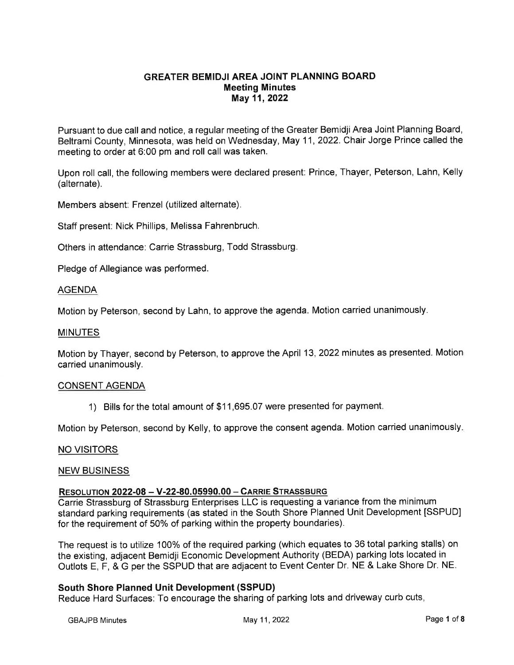# **GREATER BEMIDJI AREA JOINT PLANNING BOARD Meeting Minutes** May 11, 2022

Pursuant to due call and notice, a regular meeting of the Greater Bemidji Area Joint Planning Board, Beltrami County. Minnesota, was held on Wednesday, May 11, 2022. Chair Jorge Prince called the meeting to order at 6:00 pm and roll call was taken.

Upon roll call, the following members were declared present: Prince, Thayer, Peterson, Lahn, Kelly (alternate).

Members absent: Frenzel (utilized alternate).

Staff present: Nick Phillips, Melissa Fahrenbruch.

Others in attendance: Carrie Strassburg, Todd Strassburg.

Pledge of Allegiance was performed.

#### **AGENDA**

Motion by Peterson, second by Lahn, to approve the agenda. Motion carried unanimously.

#### **MINUTES**

Motion by Thayer, second by Peterson, to approve the April 13, 2022 minutes as presented. Motion carried unanimously.

#### **CONSENT AGENDA**

1) Bills for the total amount of \$11,695.07 were presented for payment.

Motion by Peterson, second by Kelly, to approve the consent agenda. Motion carried unanimously.

#### **NO VISITORS**

#### **NEW BUSINESS**

#### **RESOLUTION 2022-08 - V-22-80.05990.00 - CARRIE STRASSBURG**

Carrie Strassburg of Strassburg Enterprises LLC is requesting a variance from the minimum standard parking requirements (as stated in the South Shore Planned Unit Development [SSPUD] for the requirement of 50% of parking within the property boundaries).

The request is to utilize 100% of the required parking (which equates to 36 total parking stalls) on the existing, adiacent Bemidii Economic Development Authority (BEDA) parking lots located in Outlots E, F, & G per the SSPUD that are adjacent to Event Center Dr. NE & Lake Shore Dr. NE.

## **South Shore Planned Unit Development (SSPUD)**

Reduce Hard Surfaces: To encourage the sharing of parking lots and driveway curb cuts,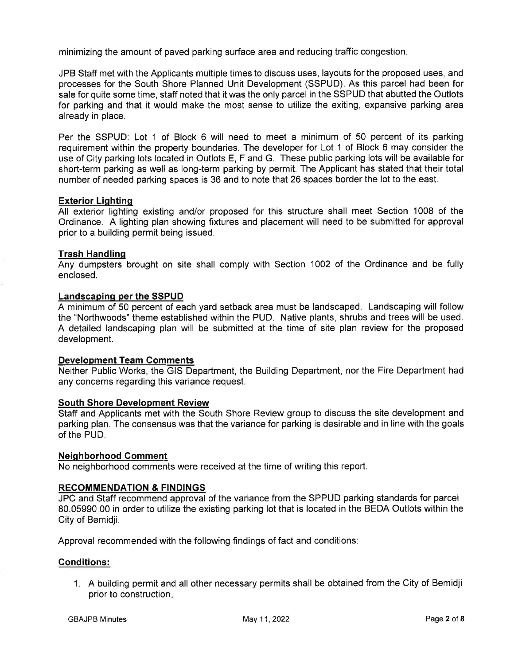minimizing the amount of paved parking surface area and reducing traffic congestion.

JPB Staff met with the Applicants multiple times to discuss uses, layouts for the proposed uses, and processes for the South Shore Planned Unit Development (SSPUD). As this parcel had been for sale for quite some time, staff noted that it was the only parcel in the SSPUD that abutted the Outlots for parking and that it would make the most sense to utilize the exiting, expansive parking area already in place.

Per the SSPUD: Lot 1 of Block 6 will need to meet a minimum of 50 percent of its parking requirement within the property boundaries. The developer for Lot 1 of Block 6 may consider the use of City parking lots located in Outlots E, F and G. These public parking lots will be available for short-term parking as well as long-term parking by permit. The Applicant has stated that their total number of needed parking spaces is 36 and to note that 26 spaces border the lot to the east.

## **Exterior Lighting**

All exterior lighting existing and/or proposed for this structure shall meet Section 1008 of the Ordinance. A lighting plan showing fixtures and placement will need to be submitted for approval prior to a building permit being issued.

#### **Trash Handling**

Any dumpsters brought on site shall comply with Section 1002 of the Ordinance and be fully enclosed.

#### Landscaping per the SSPUD

A minimum of 50 percent of each yard setback area must be landscaped. Landscaping will follow the "Northwoods" theme established within the PUD. Native plants, shrubs and trees will be used. A detailed landscaping plan will be submitted at the time of site plan review for the proposed development.

## **Development Team Comments**

Neither Public Works, the GIS Department, the Building Department, nor the Fire Department had any concerns regarding this variance request.

## **South Shore Development Review**

Staff and Applicants met with the South Shore Review group to discuss the site development and parking plan. The consensus was that the variance for parking is desirable and in line with the goals of the PUD.

#### **Neighborhood Comment**

No neighborhood comments were received at the time of writing this report.

## **RECOMMENDATION & FINDINGS**

JPC and Staff recommend approval of the variance from the SPPUD parking standards for parcel 80.05990.00 in order to utilize the existing parking lot that is located in the BEDA Outlots within the City of Bemidii.

Approval recommended with the following findings of fact and conditions:

#### **Conditions:**

1. A building permit and all other necessary permits shall be obtained from the City of Bemidji prior to construction.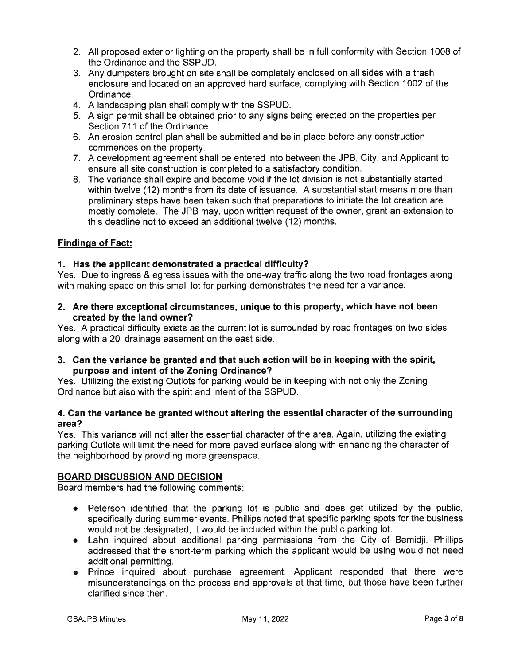- 2. All proposed exterior lighting on the property shall be in full conformity with Section 1008 of the Ordinance and the SSPUD.
- 3. Any dumpsters brought on site shall be completely enclosed on all sides with a trash enclosure and located on an approved hard surface, complying with Section 1002 of the Ordinance.
- 4. A landscaping plan shall comply with the SSPUD.
- 5. A sign permit shall be obtained prior to any signs being erected on the properties per Section 711 of the Ordinance.
- 6. An erosion control plan shall be submitted and be in place before any construction commences on the property.
- 7. A development agreement shall be entered into between the JPB, City, and Applicant to ensure all site construction is completed to a satisfactory condition.
- 8. The variance shall expire and become void if the lot division is not substantially started within twelve (12) months from its date of issuance. A substantial start means more than preliminary steps have been taken such that preparations to initiate the lot creation are mostly complete. The JPB may, upon written request of the owner, grant an extension to this deadline not to exceed an additional twelve (12) months.

# **Findings of Fact:**

# 1. Has the applicant demonstrated a practical difficulty?

Yes. Due to ingress & egress issues with the one-way traffic along the two road frontages along with making space on this small lot for parking demonstrates the need for a variance.

2. Are there exceptional circumstances, unique to this property, which have not been created by the land owner?

Yes. A practical difficulty exists as the current lot is surrounded by road frontages on two sides along with a 20' drainage easement on the east side.

3. Can the variance be granted and that such action will be in keeping with the spirit, purpose and intent of the Zoning Ordinance?

Yes. Utilizing the existing Outlots for parking would be in keeping with not only the Zoning Ordinance but also with the spirit and intent of the SSPUD.

# 4. Can the variance be granted without altering the essential character of the surrounding area?

Yes. This variance will not alter the essential character of the area. Again, utilizing the existing parking Outlots will limit the need for more paved surface along with enhancing the character of the neighborhood by providing more greenspace.

# **BOARD DISCUSSION AND DECISION**

Board members had the following comments:

- Peterson identified that the parking lot is public and does get utilized by the public, specifically during summer events. Phillips noted that specific parking spots for the business would not be designated, it would be included within the public parking lot.
- Lahn inquired about additional parking permissions from the City of Bemidji. Phillips addressed that the short-term parking which the applicant would be using would not need additional permitting.
- Prince inquired about purchase agreement. Applicant responded that there were misunderstandings on the process and approvals at that time, but those have been further clarified since then.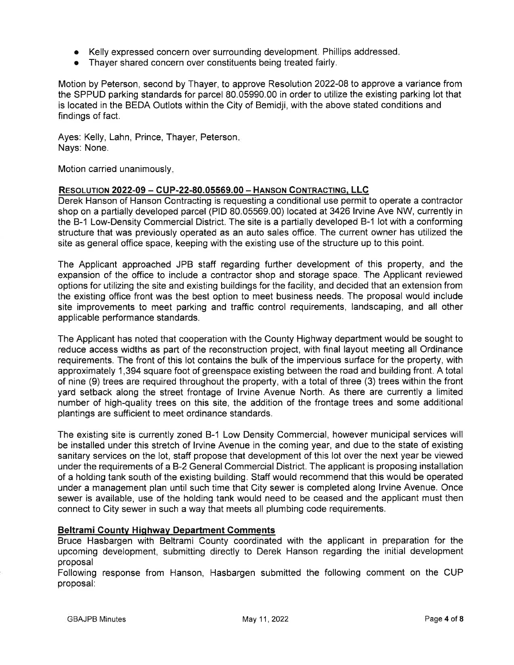- Kelly expressed concern over surrounding development. Phillips addressed.
- Thaver shared concern over constituents being treated fairly.

Motion by Peterson, second by Thayer, to approve Resolution 2022-08 to approve a variance from the SPPUD parking standards for parcel 80.05990.00 in order to utilize the existing parking lot that is located in the BEDA Outlots within the City of Bemidji, with the above stated conditions and findings of fact.

Ayes: Kelly, Lahn, Prince, Thayer, Peterson. Nays: None.

Motion carried unanimously.

## RESOLUTION 2022-09 - CUP-22-80.05569.00 - HANSON CONTRACTING, LLC

Derek Hanson of Hanson Contracting is requesting a conditional use permit to operate a contractor shop on a partially developed parcel (PID 80.05569.00) located at 3426 Irvine Ave NW, currently in the B-1 Low-Density Commercial District. The site is a partially developed B-1 lot with a conforming structure that was previously operated as an auto sales office. The current owner has utilized the site as general office space, keeping with the existing use of the structure up to this point.

The Applicant approached JPB staff regarding further development of this property, and the expansion of the office to include a contractor shop and storage space. The Applicant reviewed options for utilizing the site and existing buildings for the facility, and decided that an extension from the existing office front was the best option to meet business needs. The proposal would include site improvements to meet parking and traffic control requirements, landscaping, and all other applicable performance standards.

The Applicant has noted that cooperation with the County Highway department would be sought to reduce access widths as part of the reconstruction project, with final layout meeting all Ordinance requirements. The front of this lot contains the bulk of the impervious surface for the property, with approximately 1,394 square foot of greenspace existing between the road and building front. A total of nine (9) trees are required throughout the property, with a total of three (3) trees within the front yard setback along the street frontage of Irvine Avenue North. As there are currently a limited number of high-quality trees on this site, the addition of the frontage trees and some additional plantings are sufficient to meet ordinance standards.

The existing site is currently zoned B-1 Low Density Commercial, however municipal services will be installed under this stretch of Irvine Avenue in the coming year, and due to the state of existing sanitary services on the lot, staff propose that development of this lot over the next year be viewed under the requirements of a B-2 General Commercial District. The applicant is proposing installation of a holding tank south of the existing building. Staff would recommend that this would be operated under a management plan until such time that City sewer is completed along Irvine Avenue. Once sewer is available, use of the holding tank would need to be ceased and the applicant must then connect to City sewer in such a way that meets all plumbing code requirements.

# **Beltrami County Highway Department Comments**

Bruce Hasbargen with Beltrami County coordinated with the applicant in preparation for the upcoming development, submitting directly to Derek Hanson regarding the initial development proposal

Following response from Hanson, Hasbargen submitted the following comment on the CUP proposal: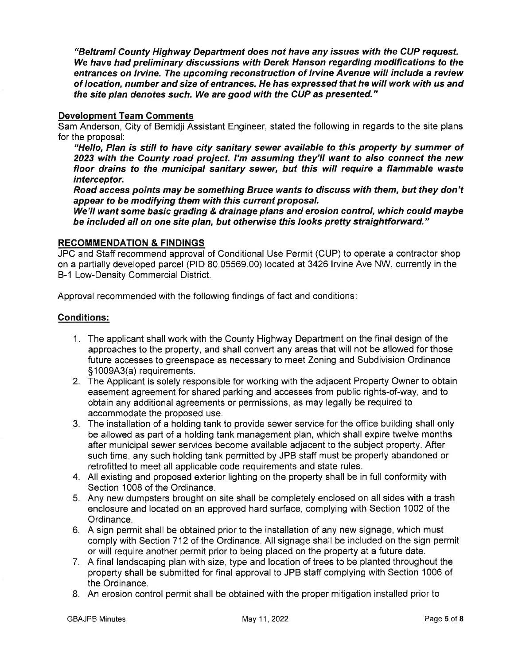"Beltrami County Highway Department does not have any issues with the CUP request. We have had preliminary discussions with Derek Hanson regarding modifications to the entrances on Irvine. The upcoming reconstruction of Irvine Avenue will include a review of location, number and size of entrances. He has expressed that he will work with us and the site plan denotes such. We are good with the CUP as presented."

## **Development Team Comments**

Sam Anderson. City of Bemidii Assistant Engineer, stated the following in regards to the site plans for the proposal:

"Hello, Plan is still to have city sanitary sewer available to this property by summer of 2023 with the County road project. I'm assuming they'll want to also connect the new floor drains to the municipal sanitary sewer, but this will require a flammable waste interceptor.

Road access points may be something Bruce wants to discuss with them, but they don't appear to be modifying them with this current proposal.

We'll want some basic grading & drainage plans and erosion control, which could maybe be included all on one site plan, but otherwise this looks pretty straightforward."

# **RECOMMENDATION & FINDINGS**

JPC and Staff recommend approval of Conditional Use Permit (CUP) to operate a contractor shop on a partially developed parcel (PID 80.05569.00) located at 3426 Irvine Ave NW, currently in the B-1 Low-Density Commercial District.

Approval recommended with the following findings of fact and conditions:

# **Conditions:**

- 1. The applicant shall work with the County Highway Department on the final design of the approaches to the property, and shall convert any areas that will not be allowed for those future accesses to greenspace as necessary to meet Zoning and Subdivision Ordinance §1009A3(a) requirements.
- 2. The Applicant is solely responsible for working with the adjacent Property Owner to obtain easement agreement for shared parking and accesses from public rights-of-way, and to obtain any additional agreements or permissions, as may legally be required to accommodate the proposed use.
- 3. The installation of a holding tank to provide sewer service for the office building shall only be allowed as part of a holding tank management plan, which shall expire twelve months after municipal sewer services become available adjacent to the subject property. After such time, any such holding tank permitted by JPB staff must be properly abandoned or retrofitted to meet all applicable code requirements and state rules.
- 4. All existing and proposed exterior lighting on the property shall be in full conformity with Section 1008 of the Ordinance.
- 5. Any new dumpsters brought on site shall be completely enclosed on all sides with a trash enclosure and located on an approved hard surface, complying with Section 1002 of the Ordinance.
- 6. A sign permit shall be obtained prior to the installation of any new signage, which must comply with Section 712 of the Ordinance. All signage shall be included on the sign permit or will require another permit prior to being placed on the property at a future date.
- 7. A final landscaping plan with size, type and location of trees to be planted throughout the property shall be submitted for final approval to JPB staff complying with Section 1006 of the Ordinance.
- 8. An erosion control permit shall be obtained with the proper mitigation installed prior to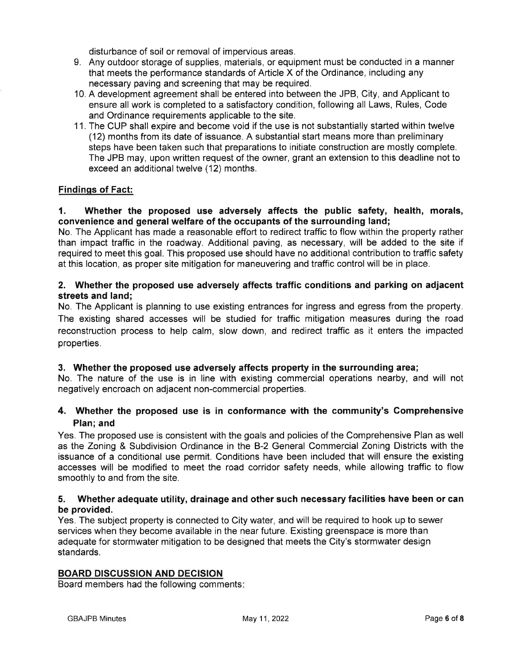disturbance of soil or removal of impervious areas.

- 9. Any outdoor storage of supplies, materials, or equipment must be conducted in a manner that meets the performance standards of Article X of the Ordinance, including any necessary paving and screening that may be required.
- 10. A development agreement shall be entered into between the JPB, City, and Applicant to ensure all work is completed to a satisfactory condition, following all Laws, Rules, Code and Ordinance requirements applicable to the site.
- 11. The CUP shall expire and become void if the use is not substantially started within twelve (12) months from its date of issuance. A substantial start means more than preliminary steps have been taken such that preparations to initiate construction are mostly complete. The JPB may, upon written request of the owner, grant an extension to this deadline not to exceed an additional twelve (12) months.

# **Findings of Fact:**

#### $\mathbf 1$ . Whether the proposed use adversely affects the public safety, health, morals, convenience and general welfare of the occupants of the surrounding land;

No. The Applicant has made a reasonable effort to redirect traffic to flow within the property rather than impact traffic in the roadway. Additional paving, as necessary, will be added to the site if required to meet this goal. This proposed use should have no additional contribution to traffic safety at this location, as proper site mitigation for maneuvering and traffic control will be in place.

# 2. Whether the proposed use adversely affects traffic conditions and parking on adjacent streets and land;

No. The Applicant is planning to use existing entrances for ingress and egress from the property. The existing shared accesses will be studied for traffic mitigation measures during the road reconstruction process to help calm, slow down, and redirect traffic as it enters the impacted properties.

## 3. Whether the proposed use adversely affects property in the surrounding area;

No. The nature of the use is in line with existing commercial operations nearby, and will not negatively encroach on adjacent non-commercial properties.

# 4. Whether the proposed use is in conformance with the community's Comprehensive Plan; and

Yes. The proposed use is consistent with the goals and policies of the Comprehensive Plan as well as the Zoning & Subdivision Ordinance in the B-2 General Commercial Zoning Districts with the issuance of a conditional use permit. Conditions have been included that will ensure the existing accesses will be modified to meet the road corridor safety needs, while allowing traffic to flow smoothly to and from the site.

#### 5. Whether adequate utility, drainage and other such necessary facilities have been or can be provided.

Yes. The subject property is connected to City water, and will be required to hook up to sewer services when they become available in the near future. Existing greenspace is more than adequate for stormwater mitigation to be designed that meets the City's stormwater design standards.

## **BOARD DISCUSSION AND DECISION**

Board members had the following comments: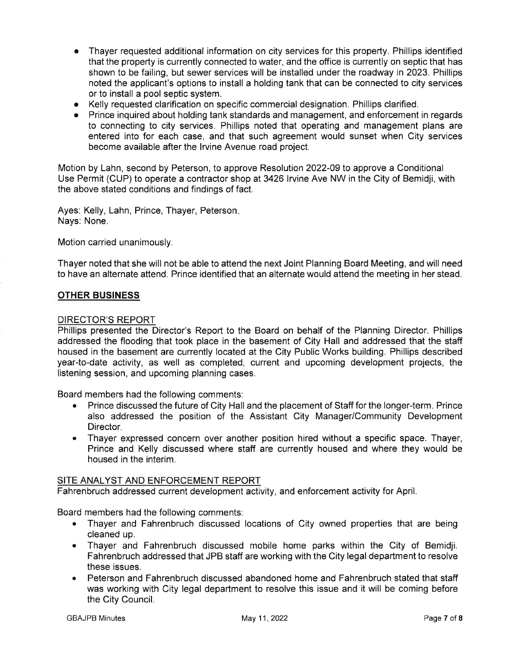- Thayer requested additional information on city services for this property. Phillips identified that the property is currently connected to water, and the office is currently on septic that has shown to be failing, but sewer services will be installed under the roadway in 2023. Phillips noted the applicant's options to install a holding tank that can be connected to city services or to install a pool septic system.
- Kelly requested clarification on specific commercial designation. Phillips clarified.
- Prince inquired about holding tank standards and management, and enforcement in regards to connecting to city services. Phillips noted that operating and management plans are entered into for each case, and that such agreement would sunset when City services become available after the Irvine Avenue road project.

Motion by Lahn, second by Peterson, to approve Resolution 2022-09 to approve a Conditional Use Permit (CUP) to operate a contractor shop at 3426 Irvine Ave NW in the City of Bemidji, with the above stated conditions and findings of fact.

Ayes: Kelly, Lahn, Prince, Thayer, Peterson. Nays: None.

Motion carried unanimously.

Thayer noted that she will not be able to attend the next Joint Planning Board Meeting, and will need to have an alternate attend. Prince identified that an alternate would attend the meeting in her stead.

# **OTHER BUSINESS**

## **DIRECTOR'S REPORT**

Phillips presented the Director's Report to the Board on behalf of the Planning Director. Phillips addressed the flooding that took place in the basement of City Hall and addressed that the staff housed in the basement are currently located at the City Public Works building. Phillips described year-to-date activity, as well as completed, current and upcoming development projects, the listening session, and upcoming planning cases.

Board members had the following comments:

- $\bullet$ Prince discussed the future of City Hall and the placement of Staff for the longer-term. Prince also addressed the position of the Assistant City Manager/Community Development Director.
- Thayer expressed concern over another position hired without a specific space. Thayer,  $\bullet$ Prince and Kelly discussed where staff are currently housed and where they would be housed in the interim.

## SITE ANALYST AND ENFORCEMENT REPORT

Fahrenbruch addressed current development activity, and enforcement activity for April.

Board members had the following comments:

- Thayer and Fahrenbruch discussed locations of City owned properties that are being  $\bullet$ cleaned up.
- Thayer and Fahrenbruch discussed mobile home parks within the City of Bemidji.  $\bullet$ Fahrenbruch addressed that JPB staff are working with the City legal department to resolve these issues.
- Peterson and Fahrenbruch discussed abandoned home and Fahrenbruch stated that staff  $\bullet$ was working with City legal department to resolve this issue and it will be coming before the City Council.